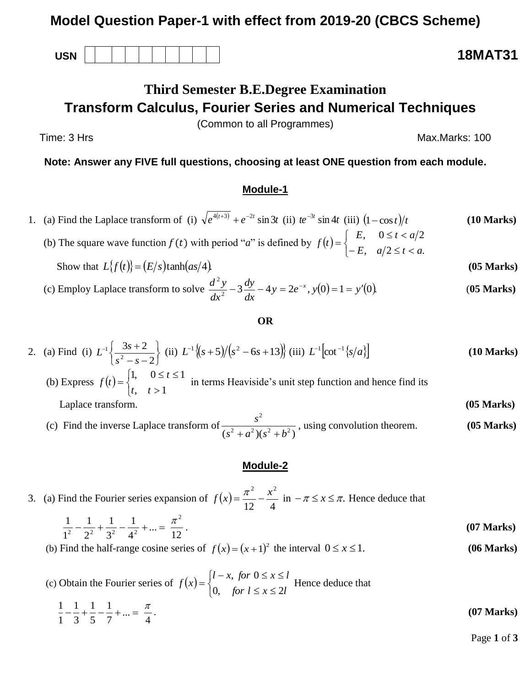## **Model Question Paper-1 with effect from 2019-20 (CBCS Scheme)**

**USN 18MAT31**

# **Third Semester B.E.Degree Examination Transform Calculus, Fourier Series and Numerical Techniques**

(Common to all Programmes)

Time: 3 Hrs Max.Marks: 100

**Note: Answer any FIVE full questions, choosing at least ONE question from each module.**

### **Module-1**

1. (a) Find the Laplace transform of (i)  $\sqrt{e^{4(t+3)}} + e^{-2t} \sin 3t$  (ii)  $te^{-3t} \sin 4t$  (iii)  $(10 Marks)$ 

(b) The square wave function  $f(t)$  with period "*a*" is defined by  $f(t)$  $\overline{\mathcal{L}}$ ⇃  $\sqrt{ }$  $-E$ ,  $a/2 \le t <$  $\leq t <$  $=$  $a/2 \leq t < a$ .  $, 0 \le t < a/2$ *E*,  $a/2 \le t < a$  $E$ ,  $0 \le t < a$ *f t* Show that  $L\{f(t)\} = (E/s)\tanh(as/4)$ . (05 Marks)

(c) Employ Laplace transform to solve 
$$
\frac{d^2 y}{dx^2} - 3\frac{dy}{dx} - 4y = 2e^{-x}
$$
,  $y(0) = 1 = y'(0)$ . (05 Marks)

#### **OR**

2. (a) Find (i) 
$$
L^{-1}\left\{\frac{3s+2}{s^2-s-2}\right\}
$$
 (ii)  $L^{-1}\left\{(s+5)/(s^2-6s+13)\right\}$  (iii)  $L^{-1}\left[\cot^{-1}\left\{s/a\right\}\right]$  (10 Marks)

- (b) Express  $f(t)$  $\overline{\mathcal{L}}$ ⇃  $\left\lceil \right\rceil$  $>$  $\leq t \leq$  $=$  $, t>1$ 1,  $0 \le t \le 1$ *t t t*  $f(t) = \begin{cases} f(t) = 1 \end{cases}$  in terms Heaviside's unit step function and hence find its Laplace transform. **(05 Marks)**
- (c) Find the inverse Laplace transform of 2  $(s^2 + a^2)(s^2 + b^2)$ *s*  $\frac{s^2 + a^2(s^2 + b^2)}{s^2 + a^2}$ , using convolution theorem. **(05 Marks)**

#### **Module-2**

3. (a) Find the Fourier series expansion of  $f(x)$ 12 4  $f(x) = \frac{\pi^2}{\sqrt{2}} - \frac{x^2}{\sqrt{2}}$  in  $-\pi \le x \le \pi$ . Hence deduce that

$$
\frac{1}{1^2} - \frac{1}{2^2} + \frac{1}{3^2} - \frac{1}{4^2} + \dots = \frac{\pi^2}{12}.
$$
 (07 Marks)

(b) Find the half-range cosine series of  $f(x) = (x+1)^2$  the interval 0 *x* 1. **(06 Marks)**

(c) Obtain the Fourier series of  $f(x)$  $\overline{\mathcal{L}}$ ┤  $\int$  $\leq x \leq$  $-x$ , for  $0 \le x \le$  $=$ *for*  $l \leq x \leq 2l$  $l - x$ , for  $0 \le x \le l$ *f x* 0, for  $l \leq x \leq 2$  $, for 0$ Hence deduce that

$$
\frac{1}{1} - \frac{1}{3} + \frac{1}{5} - \frac{1}{7} + \dots = \frac{\pi}{4}.
$$
 (07 Marks)

Page **1** of **3**

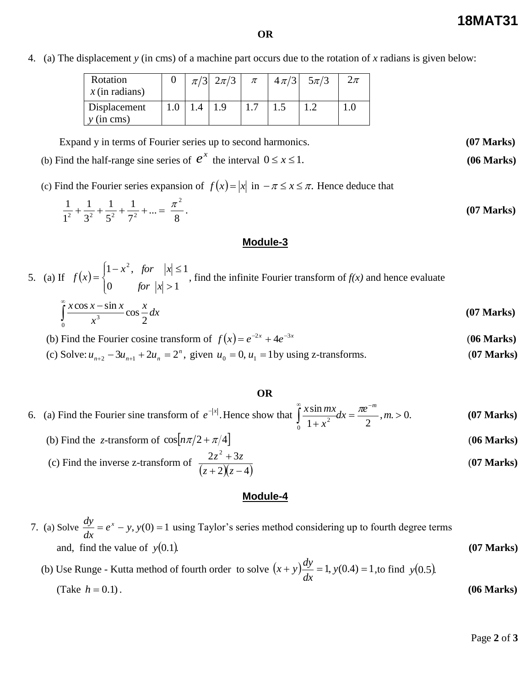**18MAT31**

0 *x* 1. **(06 Marks)**

**OR**

4. (a) The displacement *y* (in cms) of a machine part occurs due to the rotation of *x* radians is given below:

| Rotation<br>$x$ (in radians) |     | $\pi/3$ $2\pi/3$ | $\pi$ | $\left 4\pi/3\right $ | $5\pi/3$ | $2\pi$ |
|------------------------------|-----|------------------|-------|-----------------------|----------|--------|
| Displacement<br>$y$ (in cms) | 1.4 |                  |       |                       |          |        |

Expand y in terms of Fourier series up to second harmonics. **(07 Marks)**

(b) Find the half-range sine series of  $e^x$  the interval

(c) Find the Fourier series expansion of  $f(x) = |x|$  in  $-\pi \le x \le \pi$ . Hence deduce that

$$
\frac{1}{1^2} + \frac{1}{3^2} + \frac{1}{5^2} + \frac{1}{7^2} + \dots = \frac{\pi^2}{8}.
$$
 (07 Marks)

#### **Module-3**

5. (a) If 
$$
f(x) = \begin{cases} 1 - x^2, & \text{for } |x| \le 1 \\ 0 & \text{for } |x| > 1 \end{cases}
$$
, find the infinite Fourier transform of  $f(x)$  and hence evaluate

$$
\int_{0}^{\infty} \frac{x \cos x - \sin x}{x^3} \cos \frac{x}{2} dx
$$
 (07 Marks)

(b) Find the Fourier cosine transform of  $f(x) = e^{-2x} + 4e^{-3x}$  (06 Marks)

(c) Solve:  $u_{n+2} - 3u_{n+1} + 2u_n = 2^n$ ,  $u_{n+2} - 3u_{n+1} + 2u_n = 2^n$ , given  $u_0 = 0$ ,  $u_1 = 1$  by using z-transforms. (**07 Marks**)

#### **OR**

6. (a) Find the Fourier sine transform of  $e^{-|x|}$ . Hence show that  $\int_{0}^{x} \frac{x \sin mx}{x^2} dx = \frac{xe^{-x}}{2}, m > 0$ .  $1 + x^2$  2 sin 0  $\frac{dx}{2}dx = \frac{2x}{2}$ , m. >  $\ddot{}$  $\infty$  $\int_{0}^{\infty} \frac{x \sin mx}{1 + x^2} dx = \frac{\pi e^{-m}}{2}, m$ *x x* sin *mx*,  $\pi e^{-m}$ **(07 Marks)**

(b) Find the *z*-transform of  $\cos\left(\frac{n\pi}{2} + \frac{\pi}{4}\right)$  (06 Marks) (c) Find the inverse z-transform of  $(z + 2)(z - 4)$  $2z^2 + 3$  $+2)(z \overline{+}$ *z z*  $z^2 + 3z$ (**07 Marks)**

#### **Module-4**

7. (a) Solve 
$$
\frac{dy}{dx} = e^x - y
$$
,  $y(0) = 1$  using Taylor's series method considering up to fourth degree terms  
and, find the value of  $y(0.1)$ . (07 Marks)

(b) Use Runge - Kutta method of fourth order to solve  $(x + y) \frac{dy}{dx} = 1$ ,  $y(0.4) = 1$ *dx*  $(x + y) \frac{dy}{dx} = 1$ ,  $y(0.4) = 1$ , to find  $y(0.5)$ . (Take  $h = 0.1$ ).  $h = 0.1$ . **(06 Marks)**